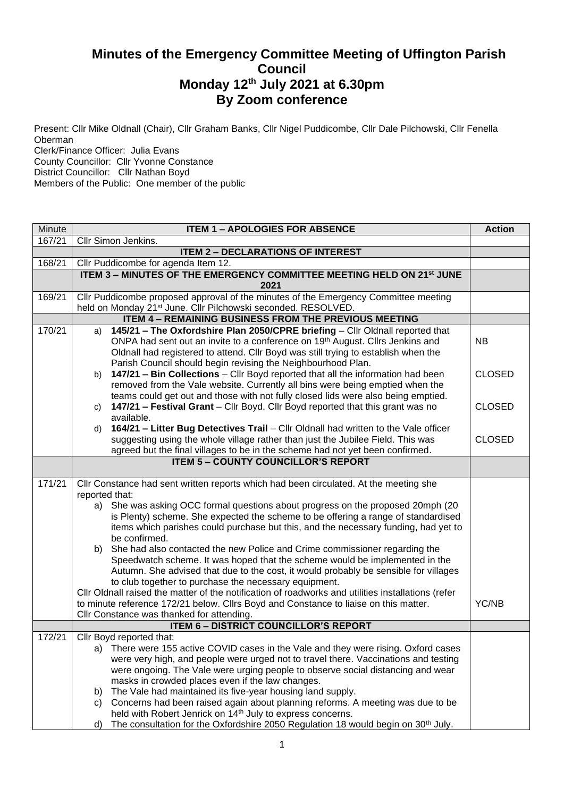## **Minutes of the Emergency Committee Meeting of Uffington Parish Council Monday 12th July 2021 at 6.30pm By Zoom conference**

Present: Cllr Mike Oldnall (Chair), Cllr Graham Banks, Cllr Nigel Puddicombe, Cllr Dale Pilchowski, Cllr Fenella Oberman

Clerk/Finance Officer: Julia Evans

County Councillor: Cllr Yvonne Constance

District Councillor: Cllr Nathan Boyd

Members of the Public: One member of the public

| Minute | <b>ITEM 1 - APOLOGIES FOR ABSENCE</b>                                                                          | <b>Action</b> |  |
|--------|----------------------------------------------------------------------------------------------------------------|---------------|--|
| 167/21 | Cllr Simon Jenkins.                                                                                            |               |  |
|        | <b>ITEM 2 - DECLARATIONS OF INTEREST</b>                                                                       |               |  |
| 168/21 | Cllr Puddicombe for agenda Item 12.                                                                            |               |  |
|        | ITEM 3 - MINUTES OF THE EMERGENCY COMMITTEE MEETING HELD ON 21st JUNE<br>2021                                  |               |  |
| 169/21 | Cllr Puddicombe proposed approval of the minutes of the Emergency Committee meeting                            |               |  |
|        | held on Monday 21 <sup>st</sup> June. Cllr Pilchowski seconded. RESOLVED.                                      |               |  |
|        | <b>ITEM 4 - REMAINING BUSINESS FROM THE PREVIOUS MEETING</b>                                                   |               |  |
| 170/21 | 145/21 - The Oxfordshire Plan 2050/CPRE briefing - Cllr Oldnall reported that<br>a)                            |               |  |
|        | ONPA had sent out an invite to a conference on 19th August. Cllrs Jenkins and                                  | <b>NB</b>     |  |
|        | Oldnall had registered to attend. Cllr Boyd was still trying to establish when the                             |               |  |
|        | Parish Council should begin revising the Neighbourhood Plan.                                                   |               |  |
|        | 147/21 - Bin Collections - Cllr Boyd reported that all the information had been<br>b)                          | <b>CLOSED</b> |  |
|        | removed from the Vale website. Currently all bins were being emptied when the                                  |               |  |
|        | teams could get out and those with not fully closed lids were also being emptied.                              |               |  |
|        | 147/21 - Festival Grant - Cllr Boyd. Cllr Boyd reported that this grant was no<br>C)<br>available.             | <b>CLOSED</b> |  |
|        | 164/21 - Litter Bug Detectives Trail - Cllr Oldnall had written to the Vale officer<br>d)                      |               |  |
|        | suggesting using the whole village rather than just the Jubilee Field. This was                                | <b>CLOSED</b> |  |
|        | agreed but the final villages to be in the scheme had not yet been confirmed.                                  |               |  |
|        | <b>ITEM 5 - COUNTY COUNCILLOR'S REPORT</b>                                                                     |               |  |
|        |                                                                                                                |               |  |
| 171/21 | Cllr Constance had sent written reports which had been circulated. At the meeting she<br>reported that:        |               |  |
|        | a) She was asking OCC formal questions about progress on the proposed 20mph (20                                |               |  |
|        | is Plenty) scheme. She expected the scheme to be offering a range of standardised                              |               |  |
|        | items which parishes could purchase but this, and the necessary funding, had yet to                            |               |  |
|        | be confirmed.                                                                                                  |               |  |
|        | She had also contacted the new Police and Crime commissioner regarding the<br>b)                               |               |  |
|        | Speedwatch scheme. It was hoped that the scheme would be implemented in the                                    |               |  |
|        | Autumn. She advised that due to the cost, it would probably be sensible for villages                           |               |  |
|        | to club together to purchase the necessary equipment.                                                          |               |  |
|        | Cllr Oldnall raised the matter of the notification of roadworks and utilities installations (refer             |               |  |
|        | to minute reference 172/21 below. Cllrs Boyd and Constance to liaise on this matter.                           | YC/NB         |  |
|        | Cllr Constance was thanked for attending.                                                                      |               |  |
|        | <b>ITEM 6 - DISTRICT COUNCILLOR'S REPORT</b>                                                                   |               |  |
| 172/21 | Cllr Boyd reported that:                                                                                       |               |  |
|        | a) There were 155 active COVID cases in the Vale and they were rising. Oxford cases                            |               |  |
|        | were very high, and people were urged not to travel there. Vaccinations and testing                            |               |  |
|        | were ongoing. The Vale were urging people to observe social distancing and wear                                |               |  |
|        | masks in crowded places even if the law changes.<br>The Vale had maintained its five-year housing land supply. |               |  |
|        | b)<br>Concerns had been raised again about planning reforms. A meeting was due to be                           |               |  |
|        | C)<br>held with Robert Jenrick on 14 <sup>th</sup> July to express concerns.                                   |               |  |
|        | The consultation for the Oxfordshire 2050 Regulation 18 would begin on 30 <sup>th</sup> July.<br>d)            |               |  |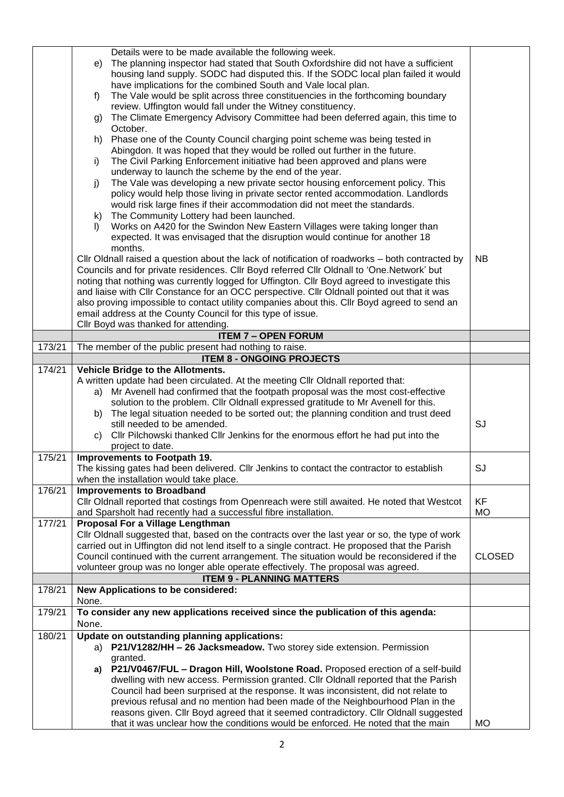|        | Details were to be made available the following week.<br>The planning inspector had stated that South Oxfordshire did not have a sufficient<br>e)<br>housing land supply. SODC had disputed this. If the SODC local plan failed it would<br>have implications for the combined South and Vale local plan.<br>The Vale would be split across three constituencies in the forthcoming boundary<br>f)<br>review. Uffington would fall under the Witney constituency.<br>The Climate Emergency Advisory Committee had been deferred again, this time to<br>g)<br>October.<br>Phase one of the County Council charging point scheme was being tested in<br>h)<br>Abingdon. It was hoped that they would be rolled out further in the future.<br>The Civil Parking Enforcement initiative had been approved and plans were<br>i)<br>underway to launch the scheme by the end of the year.<br>The Vale was developing a new private sector housing enforcement policy. This<br>j)<br>policy would help those living in private sector rented accommodation. Landlords<br>would risk large fines if their accommodation did not meet the standards.<br>The Community Lottery had been launched.<br>k)<br>Works on A420 for the Swindon New Eastern Villages were taking longer than<br>D.<br>expected. It was envisaged that the disruption would continue for another 18 |                        |
|--------|-------------------------------------------------------------------------------------------------------------------------------------------------------------------------------------------------------------------------------------------------------------------------------------------------------------------------------------------------------------------------------------------------------------------------------------------------------------------------------------------------------------------------------------------------------------------------------------------------------------------------------------------------------------------------------------------------------------------------------------------------------------------------------------------------------------------------------------------------------------------------------------------------------------------------------------------------------------------------------------------------------------------------------------------------------------------------------------------------------------------------------------------------------------------------------------------------------------------------------------------------------------------------------------------------------------------------------------------------------------------|------------------------|
|        | months.<br>Cllr Oldnall raised a question about the lack of notification of roadworks - both contracted by<br>Councils and for private residences. Cllr Boyd referred Cllr Oldnall to 'One.Network' but<br>noting that nothing was currently logged for Uffington. Cllr Boyd agreed to investigate this<br>and liaise with Cllr Constance for an OCC perspective. Cllr Oldnall pointed out that it was<br>also proving impossible to contact utility companies about this. Cllr Boyd agreed to send an<br>email address at the County Council for this type of issue.<br>Cllr Boyd was thanked for attending.                                                                                                                                                                                                                                                                                                                                                                                                                                                                                                                                                                                                                                                                                                                                                     | <b>NB</b>              |
|        | <b>ITEM 7 - OPEN FORUM</b>                                                                                                                                                                                                                                                                                                                                                                                                                                                                                                                                                                                                                                                                                                                                                                                                                                                                                                                                                                                                                                                                                                                                                                                                                                                                                                                                        |                        |
| 173/21 | The member of the public present had nothing to raise.                                                                                                                                                                                                                                                                                                                                                                                                                                                                                                                                                                                                                                                                                                                                                                                                                                                                                                                                                                                                                                                                                                                                                                                                                                                                                                            |                        |
|        | <b>ITEM 8 - ONGOING PROJECTS</b>                                                                                                                                                                                                                                                                                                                                                                                                                                                                                                                                                                                                                                                                                                                                                                                                                                                                                                                                                                                                                                                                                                                                                                                                                                                                                                                                  |                        |
| 174/21 | Vehicle Bridge to the Allotments.<br>A written update had been circulated. At the meeting Cllr Oldnall reported that:<br>a) Mr Avenell had confirmed that the footpath proposal was the most cost-effective<br>solution to the problem. Cllr Oldnall expressed gratitude to Mr Avenell for this.<br>The legal situation needed to be sorted out; the planning condition and trust deed<br>b)<br>still needed to be amended.<br>Cllr Pilchowski thanked Cllr Jenkins for the enormous effort he had put into the<br>C)<br>project to date.                                                                                                                                                                                                                                                                                                                                                                                                                                                                                                                                                                                                                                                                                                                                                                                                                         | SJ                     |
| 175/21 | Improvements to Footpath 19.<br>The kissing gates had been delivered. Cllr Jenkins to contact the contractor to establish<br>when the installation would take place.                                                                                                                                                                                                                                                                                                                                                                                                                                                                                                                                                                                                                                                                                                                                                                                                                                                                                                                                                                                                                                                                                                                                                                                              | <b>SJ</b>              |
| 176/21 | <b>Improvements to Broadband</b><br>Cllr Oldnall reported that costings from Openreach were still awaited. He noted that Westcot<br>and Sparsholt had recently had a successful fibre installation.                                                                                                                                                                                                                                                                                                                                                                                                                                                                                                                                                                                                                                                                                                                                                                                                                                                                                                                                                                                                                                                                                                                                                               | <b>KF</b><br><b>MO</b> |
| 177/21 | Proposal For a Village Lengthman<br>Cllr Oldnall suggested that, based on the contracts over the last year or so, the type of work<br>carried out in Uffington did not lend itself to a single contract. He proposed that the Parish<br>Council continued with the current arrangement. The situation would be reconsidered if the<br>volunteer group was no longer able operate effectively. The proposal was agreed.                                                                                                                                                                                                                                                                                                                                                                                                                                                                                                                                                                                                                                                                                                                                                                                                                                                                                                                                            | <b>CLOSED</b>          |
|        | <b>ITEM 9 - PLANNING MATTERS</b>                                                                                                                                                                                                                                                                                                                                                                                                                                                                                                                                                                                                                                                                                                                                                                                                                                                                                                                                                                                                                                                                                                                                                                                                                                                                                                                                  |                        |
| 178/21 | New Applications to be considered:<br>None.                                                                                                                                                                                                                                                                                                                                                                                                                                                                                                                                                                                                                                                                                                                                                                                                                                                                                                                                                                                                                                                                                                                                                                                                                                                                                                                       |                        |
| 179/21 | To consider any new applications received since the publication of this agenda:<br>None.                                                                                                                                                                                                                                                                                                                                                                                                                                                                                                                                                                                                                                                                                                                                                                                                                                                                                                                                                                                                                                                                                                                                                                                                                                                                          |                        |
| 180/21 | Update on outstanding planning applications:                                                                                                                                                                                                                                                                                                                                                                                                                                                                                                                                                                                                                                                                                                                                                                                                                                                                                                                                                                                                                                                                                                                                                                                                                                                                                                                      |                        |
|        | a) P21/V1282/HH - 26 Jacksmeadow. Two storey side extension. Permission<br>granted.<br>P21/V0467/FUL - Dragon Hill, Woolstone Road. Proposed erection of a self-build<br>a)<br>dwelling with new access. Permission granted. Cllr Oldnall reported that the Parish<br>Council had been surprised at the response. It was inconsistent, did not relate to<br>previous refusal and no mention had been made of the Neighbourhood Plan in the<br>reasons given. Cllr Boyd agreed that it seemed contradictory. Cllr Oldnall suggested<br>that it was unclear how the conditions would be enforced. He noted that the main                                                                                                                                                                                                                                                                                                                                                                                                                                                                                                                                                                                                                                                                                                                                            | <b>MO</b>              |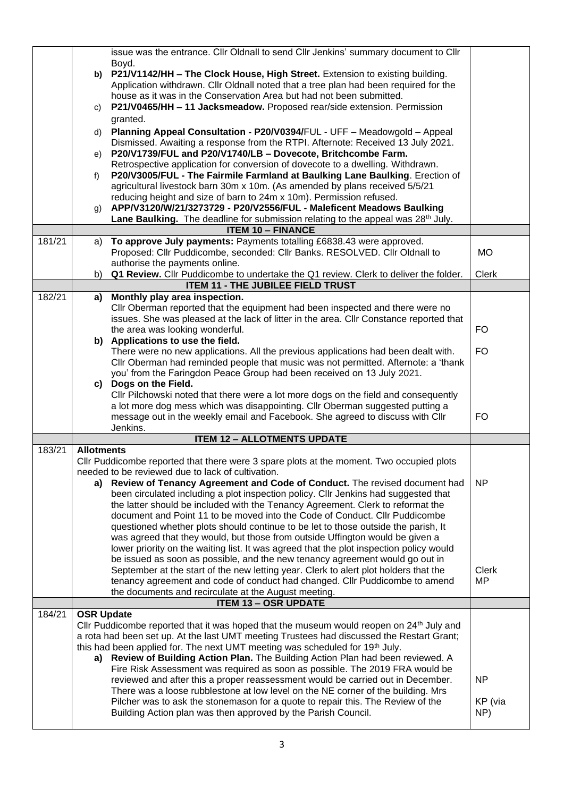|        |                   | issue was the entrance. Cllr Oldnall to send Cllr Jenkins' summary document to Cllr          |                |
|--------|-------------------|----------------------------------------------------------------------------------------------|----------------|
|        |                   | Boyd.                                                                                        |                |
|        |                   | b) P21/V1142/HH - The Clock House, High Street. Extension to existing building.              |                |
|        |                   | Application withdrawn. Cllr Oldnall noted that a tree plan had been required for the         |                |
|        |                   | house as it was in the Conservation Area but had not been submitted.                         |                |
|        | C)                | P21/V0465/HH - 11 Jacksmeadow. Proposed rear/side extension. Permission                      |                |
|        |                   | granted.                                                                                     |                |
|        |                   | d) Planning Appeal Consultation - P20/V0394/FUL - UFF - Meadowgold - Appeal                  |                |
|        |                   | Dismissed. Awaiting a response from the RTPI. Afternote: Received 13 July 2021.              |                |
|        | e)                | P20/V1739/FUL and P20/V1740/LB - Dovecote, Britchcombe Farm.                                 |                |
|        |                   | Retrospective application for conversion of dovecote to a dwelling. Withdrawn.               |                |
|        | f)                | P20/V3005/FUL - The Fairmile Farmland at Baulking Lane Baulking. Erection of                 |                |
|        |                   | agricultural livestock barn 30m x 10m. (As amended by plans received 5/5/21                  |                |
|        |                   | reducing height and size of barn to 24m x 10m). Permission refused.                          |                |
|        | g)                | APP/V3120/W/21/3273729 - P20/V2556/FUL - Maleficent Meadows Baulking                         |                |
|        |                   | Lane Baulking. The deadline for submission relating to the appeal was 28 <sup>th</sup> July. |                |
|        |                   | <b>ITEM 10 - FINANCE</b>                                                                     |                |
| 181/21 |                   | a) To approve July payments: Payments totalling £6838.43 were approved.                      |                |
|        |                   | Proposed: Cllr Puddicombe, seconded: Cllr Banks. RESOLVED. Cllr Oldnall to                   | <b>MO</b>      |
|        |                   | authorise the payments online.                                                               |                |
|        | b)                | Q1 Review. Cllr Puddicombe to undertake the Q1 review. Clerk to deliver the folder.          | <b>Clerk</b>   |
|        |                   | <b>ITEM 11 - THE JUBILEE FIELD TRUST</b>                                                     |                |
| 182/21 | a)                | Monthly play area inspection.                                                                |                |
|        |                   | Cllr Oberman reported that the equipment had been inspected and there were no                |                |
|        |                   | issues. She was pleased at the lack of litter in the area. Cllr Constance reported that      |                |
|        |                   | the area was looking wonderful.                                                              | <b>FO</b>      |
|        |                   | b) Applications to use the field.                                                            |                |
|        |                   | There were no new applications. All the previous applications had been dealt with.           | <b>FO</b>      |
|        |                   | Cllr Oberman had reminded people that music was not permitted. Afternote: a 'thank           |                |
|        |                   | you' from the Faringdon Peace Group had been received on 13 July 2021.                       |                |
|        |                   | c) Dogs on the Field.                                                                        |                |
|        |                   | CIIr Pilchowski noted that there were a lot more dogs on the field and consequently          |                |
|        |                   | a lot more dog mess which was disappointing. Cllr Oberman suggested putting a                |                |
|        |                   | message out in the weekly email and Facebook. She agreed to discuss with Cllr<br>Jenkins.    | <b>FO</b>      |
|        |                   | <b>ITEM 12 - ALLOTMENTS UPDATE</b>                                                           |                |
| 183/21 | <b>Allotments</b> |                                                                                              |                |
|        |                   | Cllr Puddicombe reported that there were 3 spare plots at the moment. Two occupied plots     |                |
|        |                   | needed to be reviewed due to lack of cultivation.                                            |                |
|        |                   | a) Review of Tenancy Agreement and Code of Conduct. The revised document had                 | <b>NP</b>      |
|        |                   | been circulated including a plot inspection policy. Cllr Jenkins had suggested that          |                |
|        |                   | the latter should be included with the Tenancy Agreement. Clerk to reformat the              |                |
|        |                   | document and Point 11 to be moved into the Code of Conduct. Cllr Puddicombe                  |                |
|        |                   | questioned whether plots should continue to be let to those outside the parish, It           |                |
|        |                   | was agreed that they would, but those from outside Uffington would be given a                |                |
|        |                   | lower priority on the waiting list. It was agreed that the plot inspection policy would      |                |
|        |                   | be issued as soon as possible, and the new tenancy agreement would go out in                 |                |
|        |                   | September at the start of the new letting year. Clerk to alert plot holders that the         | <b>Clerk</b>   |
|        |                   | tenancy agreement and code of conduct had changed. Cllr Puddicombe to amend                  | <b>MP</b>      |
|        |                   | the documents and recirculate at the August meeting.                                         |                |
|        |                   | <b>ITEM 13 - OSR UPDATE</b>                                                                  |                |
| 184/21 |                   | <b>OSR Update</b>                                                                            |                |
|        |                   | Cllr Puddicombe reported that it was hoped that the museum would reopen on $24th$ July and   |                |
|        |                   | a rota had been set up. At the last UMT meeting Trustees had discussed the Restart Grant;    |                |
|        |                   | this had been applied for. The next UMT meeting was scheduled for 19th July.                 |                |
|        |                   | a) Review of Building Action Plan. The Building Action Plan had been reviewed. A             |                |
|        |                   | Fire Risk Assessment was required as soon as possible. The 2019 FRA would be                 |                |
|        |                   | reviewed and after this a proper reassessment would be carried out in December.              | <b>NP</b>      |
|        |                   | There was a loose rubblestone at low level on the NE corner of the building. Mrs             |                |
|        |                   | Pilcher was to ask the stonemason for a quote to repair this. The Review of the              | KP (via<br>NP) |
|        |                   | Building Action plan was then approved by the Parish Council.                                |                |
|        |                   |                                                                                              |                |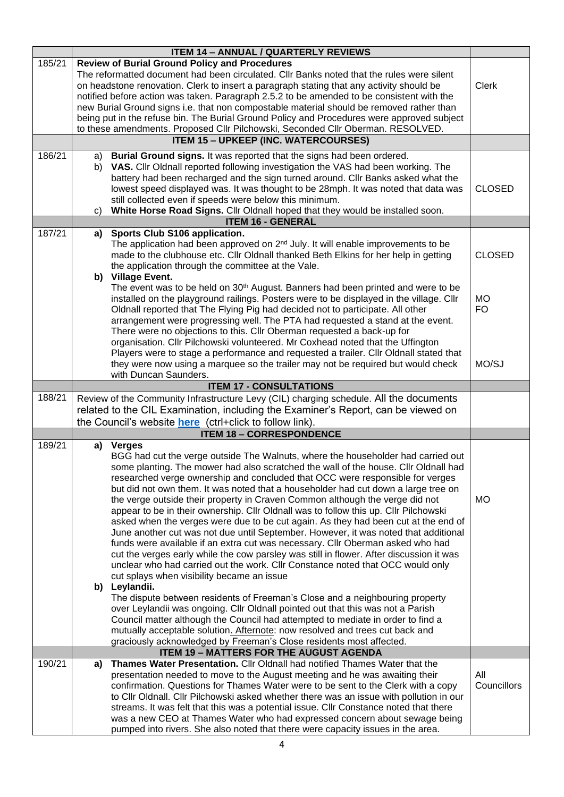|        |                | <b>ITEM 14 - ANNUAL / QUARTERLY REVIEWS</b>                                                                                                                                                                                                                                                                                                                                                                                                                                                                                                                                                                                                                                                                                                                                                                                                                                                                                                                                                                                                        |                    |
|--------|----------------|----------------------------------------------------------------------------------------------------------------------------------------------------------------------------------------------------------------------------------------------------------------------------------------------------------------------------------------------------------------------------------------------------------------------------------------------------------------------------------------------------------------------------------------------------------------------------------------------------------------------------------------------------------------------------------------------------------------------------------------------------------------------------------------------------------------------------------------------------------------------------------------------------------------------------------------------------------------------------------------------------------------------------------------------------|--------------------|
| 185/21 |                | <b>Review of Burial Ground Policy and Procedures</b><br>The reformatted document had been circulated. Cllr Banks noted that the rules were silent<br>on headstone renovation. Clerk to insert a paragraph stating that any activity should be<br>notified before action was taken. Paragraph 2.5.2 to be amended to be consistent with the<br>new Burial Ground signs i.e. that non compostable material should be removed rather than<br>being put in the refuse bin. The Burial Ground Policy and Procedures were approved subject<br>to these amendments. Proposed Cllr Pilchowski, Seconded Cllr Oberman. RESOLVED.                                                                                                                                                                                                                                                                                                                                                                                                                            | <b>Clerk</b>       |
|        |                | <b>ITEM 15 - UPKEEP (INC. WATERCOURSES)</b>                                                                                                                                                                                                                                                                                                                                                                                                                                                                                                                                                                                                                                                                                                                                                                                                                                                                                                                                                                                                        |                    |
| 186/21 | a)<br>b)<br>C) | Burial Ground signs. It was reported that the signs had been ordered.<br>VAS. Cllr Oldnall reported following investigation the VAS had been working. The<br>battery had been recharged and the sign turned around. Cllr Banks asked what the<br>lowest speed displayed was. It was thought to be 28mph. It was noted that data was<br>still collected even if speeds were below this minimum.<br>White Horse Road Signs. Cllr Oldnall hoped that they would be installed soon.                                                                                                                                                                                                                                                                                                                                                                                                                                                                                                                                                                    | <b>CLOSED</b>      |
|        |                | <b>ITEM 16 - GENERAL</b>                                                                                                                                                                                                                                                                                                                                                                                                                                                                                                                                                                                                                                                                                                                                                                                                                                                                                                                                                                                                                           |                    |
| 187/21 | a)             | Sports Club S106 application.<br>The application had been approved on 2 <sup>nd</sup> July. It will enable improvements to be<br>made to the clubhouse etc. Cllr Oldnall thanked Beth Elkins for her help in getting<br>the application through the committee at the Vale.<br>b) Village Event.                                                                                                                                                                                                                                                                                                                                                                                                                                                                                                                                                                                                                                                                                                                                                    | <b>CLOSED</b>      |
|        |                | The event was to be held on 30 <sup>th</sup> August. Banners had been printed and were to be<br>installed on the playground railings. Posters were to be displayed in the village. Cllr<br>Oldnall reported that The Flying Pig had decided not to participate. All other<br>arrangement were progressing well. The PTA had requested a stand at the event.                                                                                                                                                                                                                                                                                                                                                                                                                                                                                                                                                                                                                                                                                        | <b>MO</b><br>FO    |
|        |                | There were no objections to this. Cllr Oberman requested a back-up for<br>organisation. Cllr Pilchowski volunteered. Mr Coxhead noted that the Uffington<br>Players were to stage a performance and requested a trailer. Cllr Oldnall stated that<br>they were now using a marquee so the trailer may not be required but would check<br>with Duncan Saunders.                                                                                                                                                                                                                                                                                                                                                                                                                                                                                                                                                                                                                                                                                     | MO/SJ              |
| 188/21 |                | <b>ITEM 17 - CONSULTATIONS</b><br>Review of the Community Infrastructure Levy (CIL) charging schedule. All the documents                                                                                                                                                                                                                                                                                                                                                                                                                                                                                                                                                                                                                                                                                                                                                                                                                                                                                                                           |                    |
|        |                | related to the CIL Examination, including the Examiner's Report, can be viewed on<br>the Council's website here (ctrl+click to follow link).                                                                                                                                                                                                                                                                                                                                                                                                                                                                                                                                                                                                                                                                                                                                                                                                                                                                                                       |                    |
|        |                | <b>ITEM 18 - CORRESPONDENCE</b>                                                                                                                                                                                                                                                                                                                                                                                                                                                                                                                                                                                                                                                                                                                                                                                                                                                                                                                                                                                                                    |                    |
| 189/21 | a)             | <b>Verges</b><br>BGG had cut the verge outside The Walnuts, where the householder had carried out<br>some planting. The mower had also scratched the wall of the house. Cllr Oldnall had<br>researched verge ownership and concluded that OCC were responsible for verges<br>but did not own them. It was noted that a householder had cut down a large tree on<br>the verge outside their property in Craven Common although the verge did not<br>appear to be in their ownership. Cllr Oldnall was to follow this up. Cllr Pilchowski<br>asked when the verges were due to be cut again. As they had been cut at the end of<br>June another cut was not due until September. However, it was noted that additional<br>funds were available if an extra cut was necessary. Cllr Oberman asked who had<br>cut the verges early while the cow parsley was still in flower. After discussion it was<br>unclear who had carried out the work. Cllr Constance noted that OCC would only<br>cut splays when visibility became an issue<br>b) Leylandii. | <b>MO</b>          |
|        |                | The dispute between residents of Freeman's Close and a neighbouring property<br>over Leylandii was ongoing. Cllr Oldnall pointed out that this was not a Parish<br>Council matter although the Council had attempted to mediate in order to find a<br>mutually acceptable solution. Afternote: now resolved and trees cut back and<br>graciously acknowledged by Freeman's Close residents most affected.                                                                                                                                                                                                                                                                                                                                                                                                                                                                                                                                                                                                                                          |                    |
|        |                | <b>ITEM 19 - MATTERS FOR THE AUGUST AGENDA</b>                                                                                                                                                                                                                                                                                                                                                                                                                                                                                                                                                                                                                                                                                                                                                                                                                                                                                                                                                                                                     |                    |
| 190/21 | a)             | Thames Water Presentation. Cllr Oldnall had notified Thames Water that the<br>presentation needed to move to the August meeting and he was awaiting their<br>confirmation. Questions for Thames Water were to be sent to the Clerk with a copy<br>to Cllr Oldnall. Cllr Pilchowski asked whether there was an issue with pollution in our<br>streams. It was felt that this was a potential issue. Cllr Constance noted that there<br>was a new CEO at Thames Water who had expressed concern about sewage being<br>pumped into rivers. She also noted that there were capacity issues in the area.                                                                                                                                                                                                                                                                                                                                                                                                                                                | All<br>Councillors |